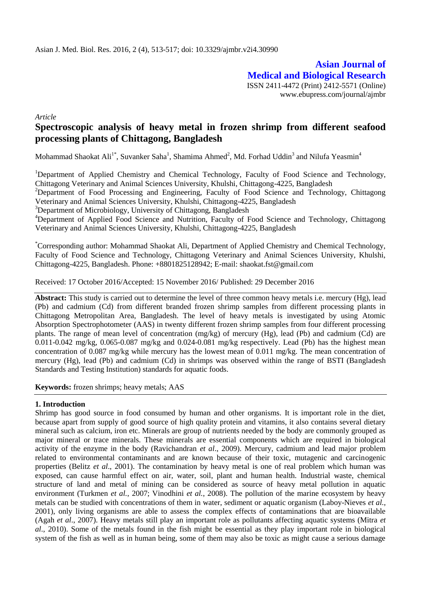**Asian Journal of Medical and Biological Research** ISSN 2411-4472 (Print) 2412-5571 (Online) www.ebupress.com/journal/ajmbr

*Article*

# **Spectroscopic analysis of heavy metal in frozen shrimp from different seafood processing plants of Chittagong, Bangladesh**

Mohammad Shaokat Ali<sup>1\*</sup>, Suvanker Saha<sup>1</sup>, Shamima Ahmed<sup>2</sup>, Md. Forhad Uddin<sup>3</sup> and Nilufa Yeasmin<sup>4</sup>

<sup>1</sup>Department of Applied Chemistry and Chemical Technology, Faculty of Food Science and Technology, Chittagong Veterinary and Animal Sciences University, Khulshi, Chittagong-4225, Bangladesh

<sup>2</sup>Department of Food Processing and Engineering, Faculty of Food Science and Technology, Chittagong Veterinary and Animal Sciences University, Khulshi, Chittagong-4225, Bangladesh

<sup>3</sup>Department of Microbiology, University of Chittagong, Bangladesh

<sup>4</sup>Department of Applied Food Science and Nutrition, Faculty of Food Science and Technology, Chittagong Veterinary and Animal Sciences University, Khulshi, Chittagong-4225, Bangladesh

\*Corresponding author: Mohammad Shaokat Ali, Department of Applied Chemistry and Chemical Technology, Faculty of Food Science and Technology, Chittagong Veterinary and Animal Sciences University, Khulshi, Chittagong-4225, Bangladesh. Phone: +8801825128942; E-mail: [shaokat.fst@gmail.com](mailto:shaokat.fst@gmail.com)

Received: 17 October 2016/Accepted: 15 November 2016/ Published: 29 December 2016

**Abstract:** This study is carried out to determine the level of three common heavy metals i.e. mercury (Hg), lead (Pb) and cadmium (Cd) from different branded frozen shrimp samples from different processing plants in Chittagong Metropolitan Area, Bangladesh. The level of heavy metals is investigated by using Atomic Absorption Spectrophotometer (AAS) in twenty different frozen shrimp samples from four different processing plants. The range of mean level of concentration (mg/kg) of mercury (Hg), lead (Pb) and cadmium (Cd) are 0.011-0.042 mg/kg, 0.065-0.087 mg/kg and 0.024-0.081 mg/kg respectively. Lead (Pb) has the highest mean concentration of 0.087 mg/kg while mercury has the lowest mean of 0.011 mg/kg. The mean concentration of mercury (Hg), lead (Pb) and cadmium (Cd) in shrimps was observed within the range of BSTI (Bangladesh Standards and Testing Institution) standards for aquatic foods.

**Keywords:** frozen shrimps; heavy metals; AAS

#### **1. Introduction**

Shrimp has good source in food consumed by human and other organisms. It is important role in the diet, because apart from supply of good source of high quality protein and vitamins, it also contains several dietary mineral such as calcium, iron etc. Minerals are group of nutrients needed by the body are commonly grouped as major mineral or trace minerals. These minerals are essential components which are required in biological activity of the enzyme in the body (Ravichandran *et al*., 2009). Mercury, cadmium and lead major problem related to environmental contaminants and are known because of their toxic, mutagenic and carcinogenic properties (Belitz *et al*., 2001). The contamination by heavy metal is one of real problem which human was exposed, can cause harmful effect on air, water, soil, plant and human health. Industrial waste, chemical structure of land and metal of mining can be considered as source of heavy metal pollution in aquatic environment (Turkmen *et al.*, 2007; Vinodhini *et al.*, 2008). The pollution of the marine ecosystem by heavy metals can be studied with concentrations of them in water, sediment or aquatic organism (Laboy-Nieves *et al.*, 2001), only living organisms are able to assess the complex effects of contaminations that are bioavailable (Agah *et al*., 2007). Heavy metals still play an important role as pollutants affecting aquatic systems (Mitra *et al*., 2010). Some of the metals found in the fish might be essential as they play important role in biological system of the fish as well as in human being, some of them may also be toxic as might cause a serious damage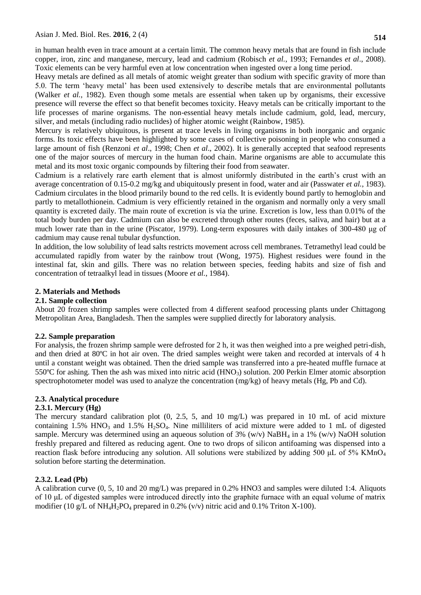in human health even in trace amount at a certain limit. The common heavy metals that are found in fish include copper, iron, zinc and manganese, mercury, lead and cadmium (Robisch *et al.*, 1993; Fernandes *et al*., 2008). Toxic elements can be very harmful even at low concentration when ingested over a long time period.

Heavy metals are defined as all metals of atomic weight greater than sodium with specific gravity of more than 5.0. The term 'heavy metal' has been used extensively to describe metals that are environmental pollutants (Walker *et al.*, 1982). Even though some metals are essential when taken up by organisms, their excessive presence will reverse the effect so that benefit becomes toxicity. Heavy metals can be critically important to the life processes of marine organisms. The non-essential heavy metals include cadmium, gold, lead, mercury, silver, and metals (including radio nuclides) of higher atomic weight (Rainbow, 1985).

Mercury is relatively ubiquitous, is present at trace levels in living organisms in both inorganic and organic forms. Its toxic effects have been highlighted by some cases of collective poisoning in people who consumed a large amount of fish (Renzoni *et al*., 1998; Chen *et al*., 2002). It is generally accepted that seafood represents one of the major sources of mercury in the human food chain. Marine organisms are able to accumulate this metal and its most toxic organic compounds by filtering their food from seawater.

Cadmium is a relatively rare earth element that is almost uniformly distributed in the earth's crust with an average concentration of 0.15-0.2 mg/kg and ubiquitously present in food, water and air (Passwater *et al.*, 1983). Cadmium circulates in the blood primarily bound to the red cells. It is evidently bound partly to hemoglobin and partly to metallothionein. Cadmium is very efficiently retained in the organism and normally only a very small quantity is excreted daily. The main route of excretion is via the urine. Excretion is low, less than 0.01% of the total body burden per day. Cadmium can also be excreted through other routes (feces, saliva, and hair) but at a much lower rate than in the urine (Piscator, 1979). Long-term exposures with daily intakes of 300-480 μg of cadmium may cause renal tubular dysfunction.

In addition, the low solubility of lead salts restricts movement across cell membranes. Tetramethyl lead could be accumulated rapidly from water by the rainbow trout (Wong*,* 1975). Highest residues were found in the intestinal fat, skin and gills. There was no relation between species, feeding habits and size of fish and concentration of tetraalkyl lead in tissues (Moore *et al.*, 1984).

### **2. Materials and Methods**

### **2.1. Sample collection**

About 20 frozen shrimp samples were collected from 4 different seafood processing plants under Chittagong Metropolitan Area, Bangladesh. Then the samples were supplied directly for laboratory analysis.

# **2.2. Sample preparation**

For analysis, the frozen shrimp sample were defrosted for 2 h, it was then weighed into a pre weighed petri-dish, and then dried at 80ºC in hot air oven. The dried samples weight were taken and recorded at intervals of 4 h until a constant weight was obtained. Then the dried sample was transferred into a pre-heated muffle furnace at 550 $^{\circ}$ C for ashing. Then the ash was mixed into nitric acid (HNO<sub>3</sub>) solution. 200 Perkin Elmer atomic absorption spectrophotometer model was used to analyze the concentration (mg/kg) of heavy metals (Hg, Pb and Cd).

# **2.3. Analytical procedure**

# **2.3.1. Mercury (Hg)**

The mercury standard calibration plot (0, 2.5, 5, and 10 mg/L) was prepared in 10 mL of acid mixture containing 1.5% HNO<sub>3</sub> and 1.5% H<sub>2</sub>SO<sub>4</sub>. Nine milliliters of acid mixture were added to 1 mL of digested sample. Mercury was determined using an aqueous solution of 3% (w/v) NaBH<sub>4</sub> in a 1% (w/v) NaOH solution freshly prepared and filtered as reducing agent. One to two drops of silicon antifoaming was dispensed into a reaction flask before introducing any solution. All solutions were stabilized by adding 500 μL of 5% KMnO<sub>4</sub> solution before starting the determination.

#### **2.3.2. Lead (Pb)**

A calibration curve (0, 5, 10 and 20 mg/L) was prepared in 0.2% HNO3 and samples were diluted 1:4. Aliquots of 10 μL of digested samples were introduced directly into the graphite furnace with an equal volume of matrix modifier (10 g/L of NH<sub>4</sub>H<sub>2</sub>PO<sub>4</sub> prepared in 0.2% (v/v) nitric acid and 0.1% Triton X-100).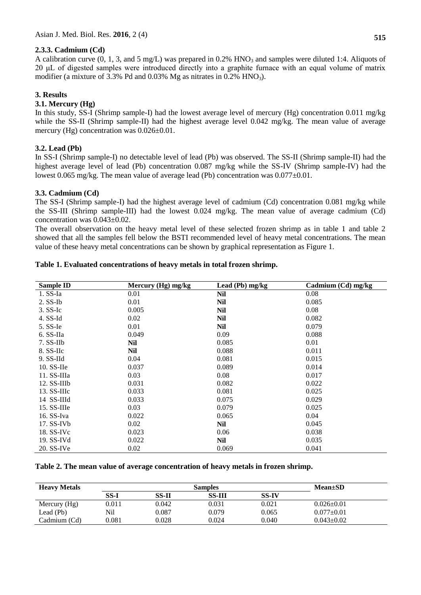### **2.3.3. Cadmium (Cd)**

A calibration curve  $(0, 1, 3, \text{ and } 5 \text{ mg/L})$  was prepared in 0.2% HNO<sub>3</sub> and samples were diluted 1:4. Aliquots of 20 μL of digested samples were introduced directly into a graphite furnace with an equal volume of matrix modifier (a mixture of 3.3% Pd and  $0.03\%$  Mg as nitrates in  $0.2\%$  HNO<sub>3</sub>).

### **3. Results**

# **3.1. Mercury (Hg)**

In this study, SS-I (Shrimp sample-I) had the lowest average level of mercury (Hg) concentration 0.011 mg/kg while the SS-II (Shrimp sample-II) had the highest average level 0.042 mg/kg. The mean value of average mercury (Hg) concentration was 0.026±0.01.

### **3.2. Lead (Pb)**

In SS-I (Shrimp sample-I) no detectable level of lead (Pb) was observed. The SS-II (Shrimp sample-II) had the highest average level of lead (Pb) concentration 0.087 mg/kg while the SS-IV (Shrimp sample-IV) had the lowest 0.065 mg/kg. The mean value of average lead (Pb) concentration was  $0.077\pm0.01$ .

### **3.3. Cadmium (Cd)**

The SS-I (Shrimp sample-I) had the highest average level of cadmium (Cd) concentration 0.081 mg/kg while the SS-III (Shrimp sample-III) had the lowest 0.024 mg/kg. The mean value of average cadmium (Cd) concentration was 0.043±0.02.

The overall observation on the heavy metal level of these selected frozen shrimp as in table 1 and table 2 showed that all the samples fell below the BSTI recommended level of heavy metal concentrations. The mean value of these heavy metal concentrations can be shown by graphical representation as Figure 1.

| Sample ID     | Mercury (Hg) mg/kg | Lead (Pb) mg/kg | Cadmium $(Cd)$ mg/kg |  |
|---------------|--------------------|-----------------|----------------------|--|
| $1.$ SS-Ia    | 0.01               | Nil             | 0.08                 |  |
| $2.$ SS-Ib    | 0.01               | <b>Nil</b>      | 0.085                |  |
| $3.$ SS-Ic    | 0.005              | Nil             | 0.08                 |  |
| $4.$ SS-Id    | 0.02               | <b>Nil</b>      | 0.082                |  |
| 5. SS-Ie      | 0.01               | Nil             | 0.079                |  |
| 6. SS-IIa     | 0.049              | 0.09            | 0.088                |  |
| 7. SS-IIb     | Nil                | 0.085           | 0.01                 |  |
| 8. SS-IIc     | Nil                | 0.088           | 0.011                |  |
| $9.$ SS-IId   | 0.04               | 0.081           | 0.015                |  |
| $10.$ SS-IIe  | 0.037              | 0.089           | 0.014                |  |
| $11.$ SS-IIIa | 0.03               | 0.08            | 0.017                |  |
| $12.$ SS-IIIb | 0.031              | 0.082           | 0.022                |  |
| $13.$ SS-IIIc | 0.033              | 0.081           | 0.025                |  |
| 14 SS-IIId    | 0.033              | 0.075           | 0.029                |  |
| 15. SS-IIIe   | 0.03               | 0.079           | 0.025                |  |
| 16. SS-Iva    | 0.022              | 0.065           | 0.04                 |  |
| $17.$ SS-IVb  | 0.02               | <b>Nil</b>      | 0.045                |  |
| $18.$ SS-IVc  | 0.023              | 0.06            | 0.038                |  |
| 19. SS-IVd    | 0.022              | Nil             | 0.035                |  |
| 20. SS-IVe    | 0.02               | 0.069           | 0.041                |  |

#### **Table 1. Evaluated concentrations of heavy metals in total frozen shrimp.**

#### **Table 2. The mean value of average concentration of heavy metals in frozen shrimp.**

| <b>Heavy Metals</b> | <b>Samples</b> |       |               |              | $Mean \pm SD$    |  |
|---------------------|----------------|-------|---------------|--------------|------------------|--|
|                     | SS-I           | SS-II | <b>SS-III</b> | <b>SS-IV</b> |                  |  |
| Mercury $(Hg)$      | 0.011          | 0.042 | 0.031         | 0.021        | $0.026 \pm 0.01$ |  |
| Lead (Pb)           | Nil            | 0.087 | 0.079         | 0.065        | $0.077 \pm 0.01$ |  |
| Cadmium (Cd)        | $\,0.081\,$    | 0.028 | 0.024         | 0.040        | $0.043 \pm 0.02$ |  |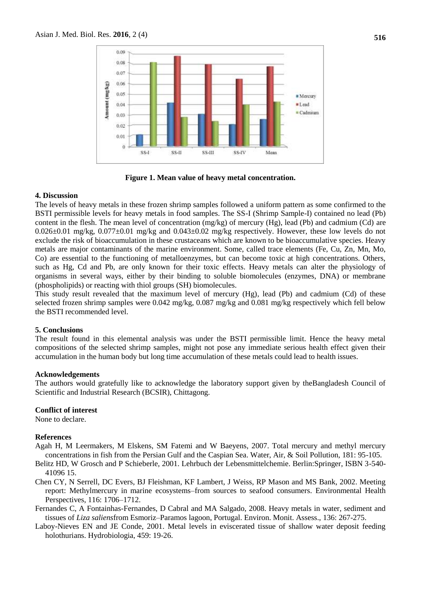

**Figure 1. Mean value of heavy metal concentration.**

#### **4. Discussion**

The levels of heavy metals in these frozen shrimp samples followed a uniform pattern as some confirmed to the BSTI permissible levels for heavy metals in food samples. The SS-I (Shrimp Sample-I) contained no lead (Pb) content in the flesh. The mean level of concentration (mg/kg) of mercury (Hg), lead (Pb) and cadmium (Cd) are 0.026±0.01 mg/kg, 0.077±0.01 mg/kg and 0.043±0.02 mg/kg respectively. However, these low levels do not exclude the risk of bioaccumulation in these crustaceans which are known to be bioaccumulative species. Heavy metals are major contaminants of the marine environment. Some, called trace elements (Fe, Cu, Zn, Mn, Mo, Co) are essential to the functioning of metalloenzymes, but can become toxic at high concentrations. Others, such as Hg, Cd and Pb, are only known for their toxic effects. Heavy metals can alter the physiology of organisms in several ways, either by their binding to soluble biomolecules (enzymes, DNA) or membrane (phospholipids) or reacting with thiol groups (SH) biomolecules.

This study result revealed that the maximum level of mercury (Hg), lead (Pb) and cadmium (Cd) of these selected frozen shrimp samples were 0.042 mg/kg, 0.087 mg/kg and 0.081 mg/kg respectively which fell below the BSTI recommended level.

#### **5. Conclusions**

The result found in this elemental analysis was under the BSTI permissible limit. Hence the heavy metal compositions of the selected shrimp samples, might not pose any immediate serious health effect given their accumulation in the human body but long time accumulation of these metals could lead to health issues.

#### **Acknowledgements**

The authors would gratefully like to acknowledge the laboratory support given by theBangladesh Council of Scientific and Industrial Research (BCSIR), Chittagong.

#### **Conflict of interest**

None to declare.

#### **References**

- Agah H, M Leermakers, M Elskens, SM Fatemi and W Baeyens, 2007. Total mercury and methyl mercury concentrations in fish from the Persian Gulf and the Caspian Sea. Water, Air, & Soil Pollution, 181: 95-105.
- Belitz HD, W Grosch and P Schieberle, 2001. Lehrbuch der Lebensmittelchemie. Berlin:Springer, ISBN 3-540- 41096 15.
- Chen CY, N Serrell, DC Evers, BJ Fleishman, KF Lambert, J Weiss, RP Mason and MS Bank, 2002. Meeting report: Methylmercury in marine ecosystems–from sources to seafood consumers. Environmental Health Perspectives, 116: 1706–1712.
- Fernandes C, A Fontainhas-Fernandes, D Cabral and MA Salgado, 2008. Heavy metals in water, sediment and tissues of *Liza saliens*from Esmoriz–Paramos lagoon, Portugal. Environ. Monit. Assess., 136: 267-275.
- Laboy-Nieves EN and JE Conde, 2001. Metal levels in eviscerated tissue of shallow water deposit feeding holothurians. Hydrobiologia, 459: 19-26.